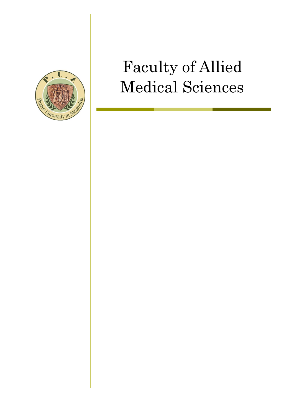

# Faculty of Allied Medical Sciences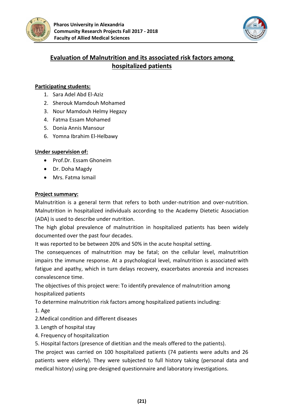



## **Evaluation of Malnutrition and its associated risk factors among hospitalized patients**

### **Participating students:**

- 1. Sara Adel Abd El-Aziz
- 2. Sherouk Mamdouh Mohamed
- 3. Nour Mamdouh Helmy Hegazy
- 4. Fatma Essam Mohamed
- 5. Donia Annis Mansour
- 6. Yomna Ibrahim El-Helbawy

#### **Under supervision of:**

- Prof.Dr. Essam Ghoneim
- Dr. Doha Magdy
- Mrs. Fatma Ismail

#### **Project summary:**

Malnutrition is a general term that refers to both under-nutrition and over-nutrition. Malnutrition in hospitalized individuals according to the Academy Dietetic Association (ADA) is used to describe under nutrition.

The high global prevalence of malnutrition in hospitalized patients has been widely documented over the past four decades.

It was reported to be between 20% and 50% in the acute hospital setting.

The consequences of malnutrition may be fatal; on the cellular level, malnutrition impairs the immune response. At a psychological level, malnutrition is associated with fatigue and apathy, which in turn delays recovery, exacerbates anorexia and increases convalescence time.

The objectives of this project were: To identify prevalence of malnutrition among hospitalized patients

To determine malnutrition risk factors among hospitalized patients including:

1. Age

2.Medical condition and different diseases

- 3. Length of hospital stay
- 4. Frequency of hospitalization

5. Hospital factors (presence of dietitian and the meals offered to the patients).

The project was carried on 100 hospitalized patients (74 patients were adults and 26 patients were elderly). They were subjected to full history taking (personal data and medical history) using pre-designed questionnaire and laboratory investigations.